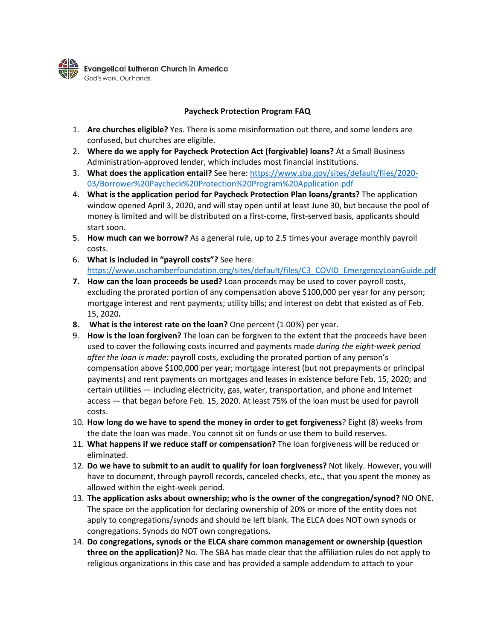

## **Paycheck Protection Program FAQ**

- 1. **Are churches eligible?** Yes. There is some misinformation out there, and some lenders are confused, but churches are eligible.
- 2. **Where do we apply for Paycheck Protection Act (forgivable) loans?** At a Small Business Administration-approved lender, which includes most financial institutions.
- 3. **What does the application entail?** See here: [https://www.sba.gov/sites/default/files/2020-](https://www.sba.gov/sites/default/files/2020-03/Borrower%20Paycheck%20Protection%20Program%20Application.pdf) [03/Borrower%20Paycheck%20Protection%20Program%20Application.pdf](https://www.sba.gov/sites/default/files/2020-03/Borrower%20Paycheck%20Protection%20Program%20Application.pdf)
- 4. **What is the application period for Paycheck Protection Plan loans/grants?** The application window opened April 3, 2020, and will stay open until at least June 30, but because the pool of money is limited and will be distributed on a first-come, first-served basis, applicants should start soon.
- 5. **How much can we borrow?** As a general rule, up to 2.5 times your average monthly payroll costs.
- 6. **What is included in "payroll costs"?** See here: [https://www.uschamberfoundation.org/sites/default/files/C3\\_COVID\\_EmergencyLoanGuide.pdf](https://www.uschamberfoundation.org/sites/default/files/C3_COVID_EmergencyLoanGuide.pdf)
- **7. How can the loan proceeds be used?** Loan proceeds may be used to cover payroll costs, excluding the prorated portion of any compensation above \$100,000 per year for any person; mortgage interest and rent payments; utility bills; and interest on debt that existed as of Feb. 15, 2020**.**
- **8. What is the interest rate on the loan?** One percent (1.00%) per year.
- 9. **How is the loan forgiven?** The loan can be forgiven to the extent that the proceeds have been used to cover the following costs incurred and payments made *during the eight-week period after the loan is made:* payroll costs, excluding the prorated portion of any person's compensation above \$100,000 per year; mortgage interest (but not prepayments or principal payments) and rent payments on mortgages and leases in existence before Feb. 15, 2020; and certain utilities — including electricity, gas, water, transportation, and phone and Internet access — that began before Feb. 15, 2020. At least 75% of the loan must be used for payroll costs.
- 10. **How long do we have to spend the money in order to get forgiveness**? Eight (8) weeks from the date the loan was made. You cannot sit on funds or use them to build reserves.
- 11. **What happens if we reduce staff or compensation?** The loan forgiveness will be reduced or eliminated.
- 12. **Do we have to submit to an audit to qualify for loan forgiveness?** Not likely. However, you will have to document, through payroll records, canceled checks, etc., that you spent the money as allowed within the eight-week period.
- 13. **The application asks about ownership; who is the owner of the congregation/synod?** NO ONE. The space on the application for declaring ownership of 20% or more of the entity does not apply to congregations/synods and should be left blank. The ELCA does NOT own synods or congregations. Synods do NOT own congregations.
- 14. **Do congregations, synods or the ELCA share common management or ownership (question three on the application)?** No. The SBA has made clear that the affiliation rules do not apply to religious organizations in this case and has provided a sample addendum to attach to your